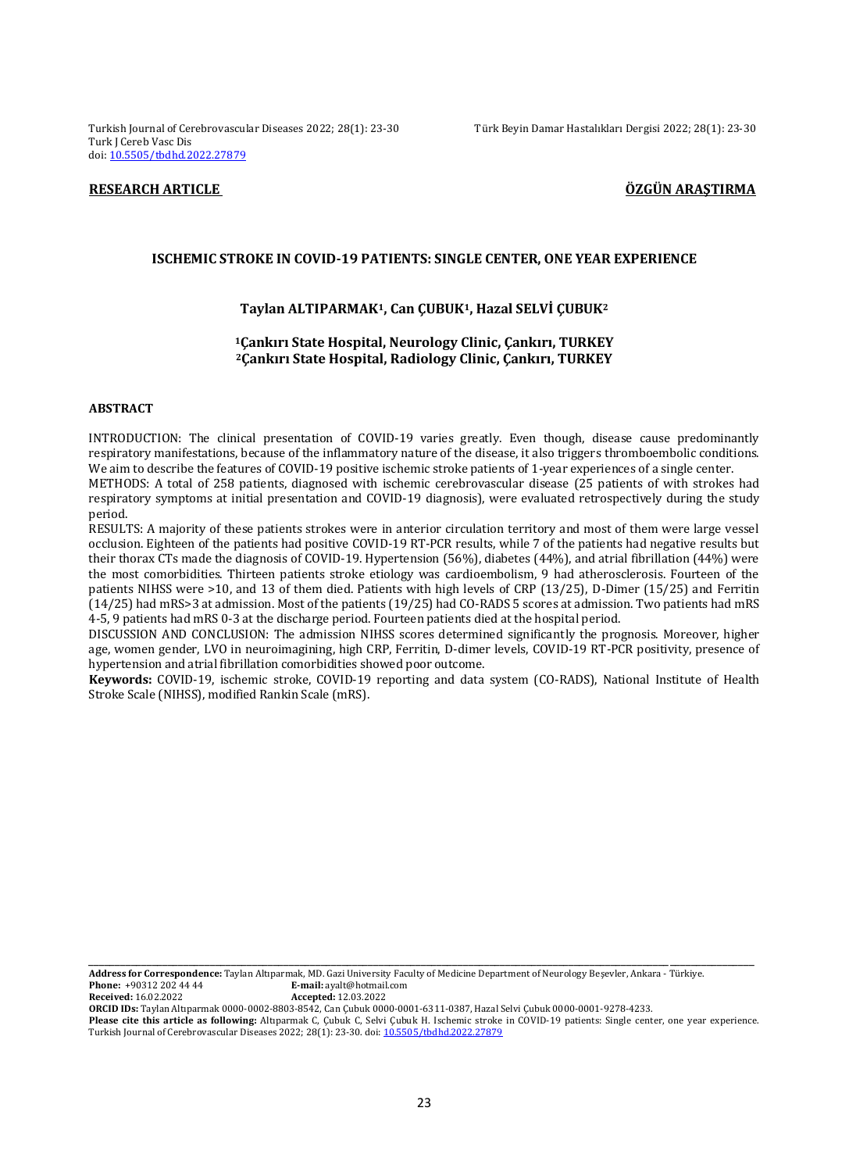Turkish Journal of Cerebrovascular Diseases 2022; 28(1): 23-30 Türk Beyin Damar Hastalıkları Dergisi 2022; 28(1): 23-30 Turk J Cereb Vasc Dis doi: [10.5505/tbdhd.2022.27879](https://dx.doi.org/10.5505/tbdhd.2022.27879)

# **RESEARCH ARTICLE ÖZGÜN ARAŞTIRMA**

#### **ISCHEMIC STROKE IN COVID-19 PATIENTS: SINGLE CENTER, ONE YEAR EXPERIENCE**

#### **Taylan ALTIPARMAK1, Can ÇUBUK1, Hazal SELVİ ÇUBUK<sup>2</sup>**

# **<sup>1</sup>Çankırı State Hospital, Neurology Clinic, Çankırı, TURKEY <sup>2</sup>Çankırı State Hospital, Radiology Clinic, Çankırı, TURKEY**

#### **ABSTRACT**

INTRODUCTION: The clinical presentation of COVID-19 varies greatly. Even though, disease cause predominantly respiratory manifestations, because of the inflammatory nature of the disease, it also triggers thromboembolic conditions. We aim to describe the features of COVID-19 positive ischemic stroke patients of 1-year experiences of a single center. METHODS: A total of 258 patients, diagnosed with ischemic cerebrovascular disease (25 patients of with strokes had

respiratory symptoms at initial presentation and COVID-19 diagnosis), were evaluated retrospectively during the study period.

RESULTS: A majority of these patients strokes were in anterior circulation territory and most of them were large vessel occlusion. Eighteen of the patients had positive COVID-19 RT-PCR results, while 7 of the patients had negative results but their thorax CTs made the diagnosis of COVID-19. Hypertension (56%), diabetes (44%), and atrial fibrillation (44%) were the most comorbidities. Thirteen patients stroke etiology was cardioembolism, 9 had atherosclerosis. Fourteen of the patients NIHSS were >10, and 13 of them died. Patients with high levels of CRP (13/25), D-Dimer (15/25) and Ferritin (14/25) had mRS>3 at admission. Most of the patients (19/25) had CO-RADS 5 scores at admission. Two patients had mRS 4-5, 9 patients had mRS 0-3 at the discharge period. Fourteen patients died at the hospital period.

DISCUSSION AND CONCLUSION: The admission NIHSS scores determined significantly the prognosis. Moreover, higher age, women gender, LVO in neuroimagining, high CRP, Ferritin, D-dimer levels, COVID-19 RT-PCR positivity, presence of hypertension and atrial fibrillation comorbidities showed poor outcome.

**Keywords:** COVID-19, ischemic stroke, COVID-19 reporting and data system (CO-RADS), National Institute of Health Stroke Scale (NIHSS), modified Rankin Scale (mRS).

**Address for Correspondence:** Taylan Altıparmak, MD. Gazi University Faculty of Medicine Department of Neurology Beşevler, Ankara - Türkiye. **E-mail:** ayalt@hotmail.com<br>**Accepted:** 12.03.2022 **Received:** 16.02.2022

**ORCID IDs:** Taylan Altıparmak 0000-0002-8803-8542, Can Çubuk 0000-0001-6311-0387, Hazal Selvi Çubuk 0000-0001-9278-4233.

**Please cite this article as following:** Altıparmak C, Çubuk C, Selvi Çubuk H. Ischemic stroke in COVID-19 patients: Single center, one year experience. Turkish Journal of Cerebrovascular Diseases 2022; 28(1): 23-30. doi[: 10.5505/tbdhd.2022.27879](https://dx.doi.org/10.5505/tbdhd.2022.27879)

\_\_\_\_\_\_\_\_\_\_\_\_\_\_\_\_\_\_\_\_\_\_\_\_\_\_\_\_\_\_\_\_\_\_\_\_\_\_\_\_\_\_\_\_\_\_\_\_\_\_\_\_\_\_\_\_\_\_\_\_\_\_\_\_\_\_\_\_\_\_\_\_\_\_\_\_\_\_\_\_\_\_\_\_\_\_\_\_\_\_\_\_\_\_\_\_\_\_\_\_\_\_\_\_\_\_\_\_\_\_\_\_\_\_\_\_\_\_\_\_\_\_\_\_\_\_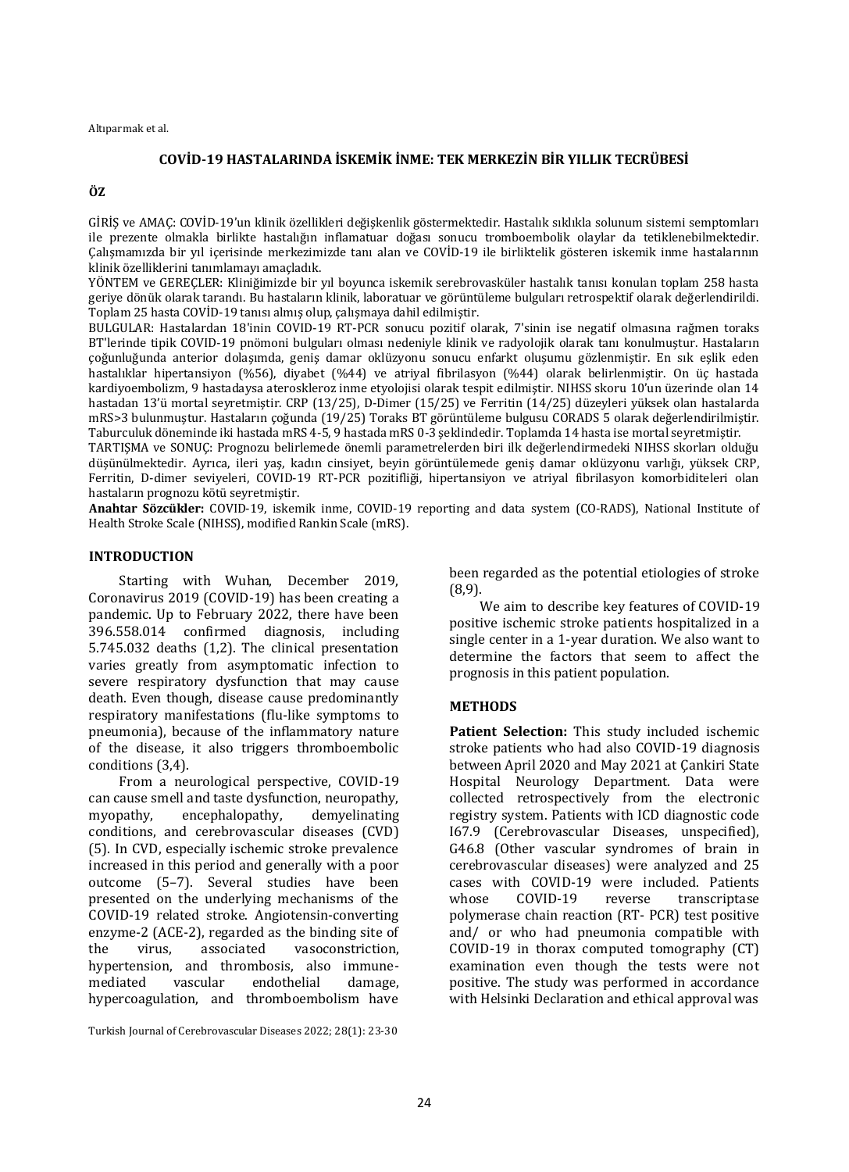# **COVİD-19 HASTALARINDA İSKEMİK İNME: TEK MERKEZİN BİR YILLIK TECRÜBESİ**

#### **ÖZ**

GİRİŞ ve AMAÇ: COVİD-19'un klinik özellikleri değişkenlik göstermektedir. Hastalık sıklıkla solunum sistemi semptomları ile prezente olmakla birlikte hastalığın inflamatuar doğası sonucu tromboembolik olaylar da tetiklenebilmektedir. Çalışmamızda bir yıl içerisinde merkezimizde tanı alan ve COVİD-19 ile birliktelik gösteren iskemik inme hastalarının klinik özelliklerini tanımlamayı amaçladık.

YÖNTEM ve GEREÇLER: Kliniğimizde bir yıl boyunca iskemik serebrovasküler hastalık tanısı konulan toplam 258 hasta geriye dönük olarak tarandı. Bu hastaların klinik, laboratuar ve görüntüleme bulguları retrospektif olarak değerlendirildi. Toplam 25 hasta COVİD-19 tanısı almış olup, çalışmaya dahil edilmiştir.

BULGULAR: Hastalardan 18'inin COVID-19 RT-PCR sonucu pozitif olarak, 7'sinin ise negatif olmasına rağmen toraks BT'lerinde tipik COVID-19 pnömoni bulguları olması nedeniyle klinik ve radyolojik olarak tanı konulmuştur. Hastaların çoğunluğunda anterior dolaşımda, geniş damar oklüzyonu sonucu enfarkt oluşumu gözlenmiştir. En sık eşlik eden hastalıklar hipertansiyon (%56), diyabet (%44) ve atriyal fibrilasyon (%44) olarak belirlenmiştir. On üç hastada kardiyoembolizm, 9 hastadaysa ateroskleroz inme etyolojisi olarak tespit edilmiştir. NIHSS skoru 10'un üzerinde olan 14 hastadan 13'ü mortal seyretmiştir. CRP (13/25), D-Dimer (15/25) ve Ferritin (14/25) düzeyleri yüksek olan hastalarda mRS>3 bulunmuştur. Hastaların çoğunda (19/25) Toraks BT görüntüleme bulgusu CORADS 5 olarak değerlendirilmiştir. Taburculuk döneminde iki hastada mRS 4-5, 9 hastada mRS 0-3 şeklindedir. Toplamda 14 hasta ise mortal seyretmiştir.

TARTIŞMA ve SONUÇ: Prognozu belirlemede önemli parametrelerden biri ilk değerlendirmedeki NIHSS skorları olduğu düşünülmektedir. Ayrıca, ileri yaş, kadın cinsiyet, beyin görüntülemede geniş damar oklüzyonu varlığı, yüksek CRP, Ferritin, D-dimer seviyeleri, COVID-19 RT-PCR pozitifliği, hipertansiyon ve atriyal fibrilasyon komorbiditeleri olan hastaların prognozu kötü seyretmiştir.

**Anahtar Sözcükler:** COVID-19, iskemik inme, COVID-19 reporting and data system (CO-RADS), National Institute of Health Stroke Scale (NIHSS), modified Rankin Scale (mRS).

## **INTRODUCTION**

Starting with Wuhan, December 2019, Coronavirus 2019 (COVID-19) has been creating a pandemic. Up to February 2022, there have been 396.558.014 confirmed diagnosis, including 5.745.032 deaths (1,2). The clinical presentation varies greatly from asymptomatic infection to severe respiratory dysfunction that may cause death. Even though, disease cause predominantly respiratory manifestations (flu-like symptoms to pneumonia), because of the inflammatory nature of the disease, it also triggers thromboembolic conditions (3,4).

From a neurological perspective, COVID-19 can cause smell and taste dysfunction, neuropathy, myopathy, encephalopathy, demyelinating conditions, and cerebrovascular diseases (CVD) (5). In CVD, especially ischemic stroke prevalence increased in this period and generally with a poor outcome (5–7). Several studies have been presented on the underlying mechanisms of the COVID-19 related stroke. Angiotensin-converting enzyme-2 (ACE-2), regarded as the binding site of the virus, associated vasoconstriction, hypertension, and thrombosis, also immunemediated vascular endothelial damage, hypercoagulation, and thromboembolism have

Turkish Journal of Cerebrovascular Diseases 2022; 28(1): 23-30

been regarded as the potential etiologies of stroke (8,9).

We aim to describe key features of COVID-19 positive ischemic stroke patients hospitalized in a single center in a 1-year duration. We also want to determine the factors that seem to affect the prognosis in this patient population.

## **METHODS**

**Patient Selection:** This study included ischemic stroke patients who had also COVID-19 diagnosis between April 2020 and May 2021 at Çankiri State Hospital Neurology Department. Data were collected retrospectively from the electronic registry system. Patients with ICD diagnostic code I67.9 (Cerebrovascular Diseases, unspecified), G46.8 (Other vascular syndromes of brain in cerebrovascular diseases) were analyzed and 25 cases with COVID-19 were included. Patients whose COVID-19 reverse transcriptase polymerase chain reaction (RT- PCR) test positive and/ or who had pneumonia compatible with COVID-19 in thorax computed tomography (CT) examination even though the tests were not positive. The study was performed in accordance with Helsinki Declaration and ethical approval was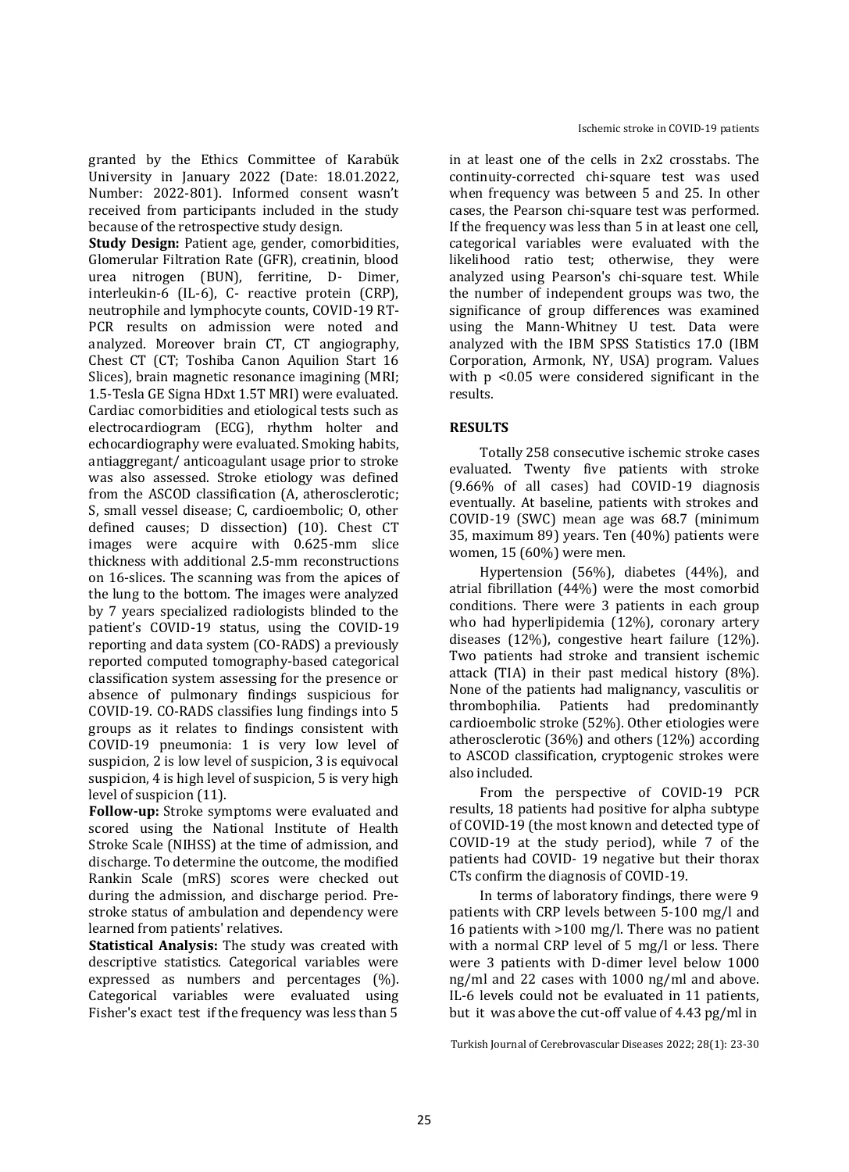granted by the Ethics Committee of Karabük University in January 2022 (Date: 18.01.2022, Number: 2022-801). Informed consent wasn't received from participants included in the study because of the retrospective study design.

**Study Design:** Patient age, gender, comorbidities, Glomerular Filtration Rate (GFR), creatinin, blood urea nitrogen (BUN), ferritine, D- Dimer, interleukin-6 (IL-6), C- reactive protein (CRP), neutrophile and lymphocyte counts, COVID-19 RT-PCR results on admission were noted and analyzed. Moreover brain CT, CT angiography, Chest CT (CT; Toshiba Canon Aquilion Start 16 Slices), brain magnetic resonance imagining (MRI; 1.5-Tesla GE Signa HDxt 1.5T MRI) were evaluated. Cardiac comorbidities and etiological tests such as electrocardiogram (ECG), rhythm holter and echocardiography were evaluated. Smoking habits, antiaggregant/ anticoagulant usage prior to stroke was also assessed. Stroke etiology was defined from the ASCOD classification (A, atherosclerotic; S, small vessel disease; C, cardioembolic; O, other defined causes; D dissection) (10). Chest CT images were acquire with 0.625-mm slice thickness with additional 2.5-mm reconstructions on 16-slices. The scanning was from the apices of the lung to the bottom. The images were analyzed by 7 years specialized radiologists blinded to the patient's COVID-19 status, using the COVID-19 reporting and data system (CO-RADS) a previously reported computed tomography-based categorical classification system assessing for the presence or absence of pulmonary findings suspicious for COVID-19. CO-RADS classifies lung findings into 5 groups as it relates to findings consistent with COVID-19 pneumonia: 1 is very low level of suspicion, 2 is low level of suspicion, 3 is equivocal suspicion, 4 is high level of suspicion, 5 is very high level of suspicion (11).

**Follow-up:** Stroke symptoms were evaluated and scored using the National Institute of Health Stroke Scale (NIHSS) at the time of admission, and discharge. To determine the outcome, the modified Rankin Scale (mRS) scores were checked out during the admission, and discharge period. Prestroke status of ambulation and dependency were learned from patients' relatives.

**Statistical Analysis:** The study was created with descriptive statistics. Categorical variables were expressed as numbers and percentages (%). Categorical variables were evaluated using Fisher's exact test if the frequency was less than 5

in at least one of the cells in 2x2 crosstabs. The continuity-corrected chi-square test was used when frequency was between 5 and 25. In other cases, the Pearson chi-square test was performed. If the frequency was less than 5 in at least one cell, categorical variables were evaluated with the likelihood ratio test; otherwise, they were analyzed using Pearson's chi-square test. While the number of independent groups was two, the significance of group differences was examined using the Mann-Whitney U test. Data were analyzed with the IBM SPSS Statistics 17.0 (IBM Corporation, Armonk, NY, USA) program. Values with p <0.05 were considered significant in the results.

# **RESULTS**

Totally 258 consecutive ischemic stroke cases evaluated. Twenty five patients with stroke (9.66% of all cases) had COVID-19 diagnosis eventually. At baseline, patients with strokes and COVID-19 (SWC) mean age was 68.7 (minimum 35, maximum 89) years. Ten (40%) patients were women, 15 (60%) were men.

Hypertension (56%), diabetes (44%), and atrial fibrillation (44%) were the most comorbid conditions. There were 3 patients in each group who had hyperlipidemia (12%), coronary artery diseases (12%), congestive heart failure (12%). Two patients had stroke and transient ischemic attack (TIA) in their past medical history (8%). None of the patients had malignancy, vasculitis or thrombophilia. Patients had predominantly cardioembolic stroke (52%). Other etiologies were atherosclerotic (36%) and others (12%) according to ASCOD classification, cryptogenic strokes were also included.

From the perspective of COVID-19 PCR results, 18 patients had positive for alpha subtype of COVID-19 (the most known and detected type of COVID-19 at the study period), while 7 of the patients had COVID- 19 negative but their thorax CTs confirm the diagnosis of COVID-19.

In terms of laboratory findings, there were 9 patients with CRP levels between 5-100 mg/l and 16 patients with >100 mg/l. There was no patient with a normal CRP level of 5 mg/l or less. There were 3 patients with D-dimer level below 1000 ng/ml and 22 cases with 1000 ng/ml and above. IL-6 levels could not be evaluated in 11 patients, but it was above the cut-off value of 4.43 pg/ml in

Turkish Journal of Cerebrovascular Diseases 2022; 28(1): 23-30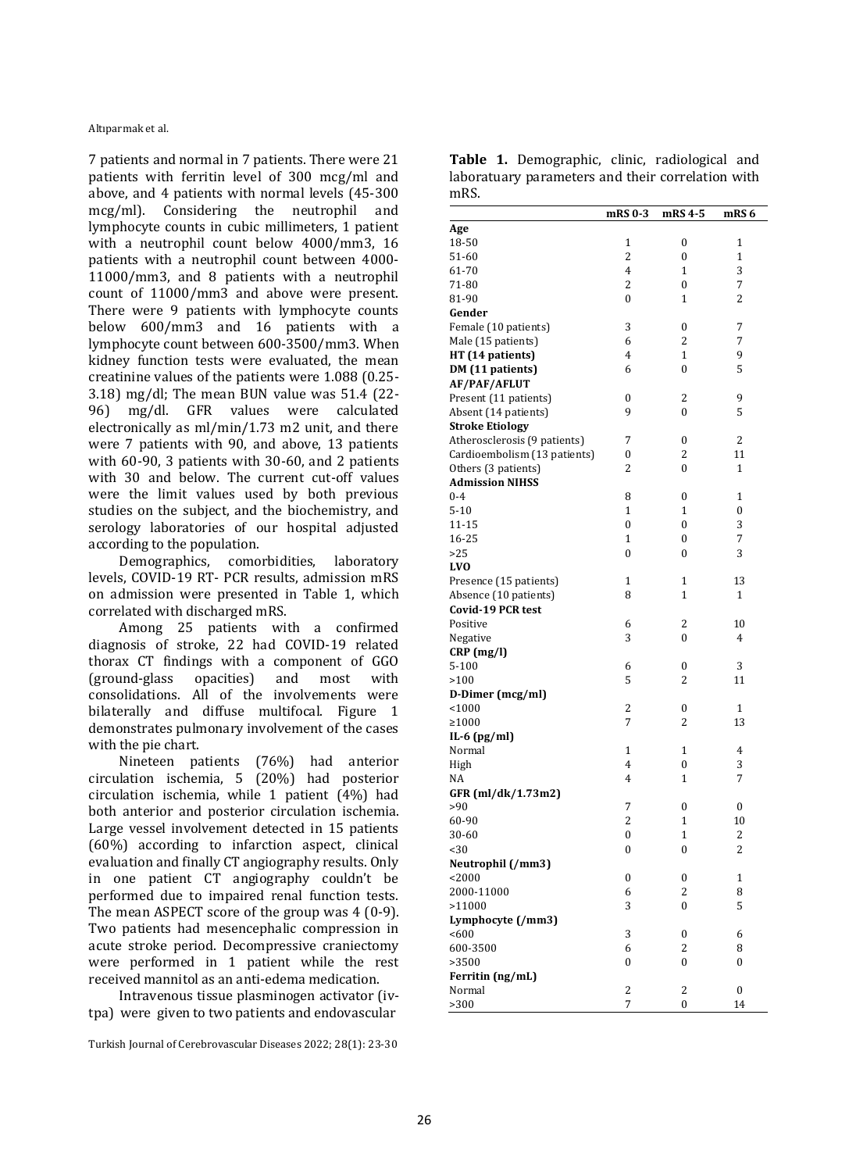7 patients and normal in 7 patients. There were 21 patients with ferritin level of 300 mcg/ml and above, and 4 patients with normal levels (45-300 mcg/ml). Considering the neutrophil and lymphocyte counts in cubic millimeters, 1 patient with a neutrophil count below 4000/mm3, 16 patients with a neutrophil count between 4000- 11000/mm3, and 8 patients with a neutrophil count of 11000/mm3 and above were present. There were 9 patients with lymphocyte counts below 600/mm3 and 16 patients with a lymphocyte count between 600-3500/mm3. When kidney function tests were evaluated, the mean creatinine values of the patients were 1.088 (0.25- 3.18) mg/dl; The mean BUN value was 51.4 (22- 96) mg/dl. GFR values were calculated electronically as ml/min/1.73 m2 unit, and there were 7 patients with 90, and above, 13 patients with 60-90, 3 patients with 30-60, and 2 patients with 30 and below. The current cut-off values were the limit values used by both previous studies on the subject, and the biochemistry, and serology laboratories of our hospital adjusted according to the population.

Demographics, comorbidities, laboratory levels, COVID-19 RT- PCR results, admission mRS on admission were presented in Table 1, which correlated with discharged mRS.

Among 25 patients with a confirmed diagnosis of stroke, 22 had COVID-19 related thorax CT findings with a component of GGO (ground-glass opacities) and most with consolidations. All of the involvements were bilaterally and diffuse multifocal. Figure 1 demonstrates pulmonary involvement of the cases with the pie chart.

Nineteen patients (76%) had anterior circulation ischemia, 5 (20%) had posterior circulation ischemia, while 1 patient (4%) had both anterior and posterior circulation ischemia. Large vessel involvement detected in 15 patients (60%) according to infarction aspect, clinical evaluation and finally CT angiography results. Only in one patient CT angiography couldn't be performed due to impaired renal function tests. The mean ASPECT score of the group was 4 (0-9). Two patients had mesencephalic compression in acute stroke period. Decompressive craniectomy were performed in 1 patient while the rest received mannitol as an anti-edema medication.

Intravenous tissue plasminogen activator (ivtpa) were given to two patients and endovascular

Turkish Journal of Cerebrovascular Diseases 2022; 28(1): 23-30

|      | Table 1. Demographic, clinic, radiological and    |  |  |
|------|---------------------------------------------------|--|--|
|      | laboratuary parameters and their correlation with |  |  |
| mRS. |                                                   |  |  |

|                                               | mRS 0-3                      | mRS 4-5               | mRS 6         |
|-----------------------------------------------|------------------------------|-----------------------|---------------|
| Age                                           |                              |                       |               |
| 18-50                                         | 1                            | 0                     | 1             |
| 51-60                                         | 2                            | $\mathbf{0}$          | 1             |
| 61-70                                         | 4                            | $\mathbf{1}$          | 3             |
| 71-80                                         | 2                            | 0                     | 7             |
| 81-90                                         | $\theta$                     | 1                     | 2             |
| Gender                                        |                              |                       |               |
| Female (10 patients)                          | 3                            | 0                     | 7             |
| Male (15 patients)                            | 6                            | 2                     | 7             |
| HT (14 patients)                              | 4                            | 1                     | 9             |
| DM (11 patients)                              | 6                            | $\boldsymbol{0}$      | 5             |
| <b>AF/PAF/AFLUT</b>                           |                              |                       |               |
| Present (11 patients)                         | 0                            | 2                     | 9             |
| Absent (14 patients)                          | 9                            | $\boldsymbol{0}$      | 5             |
| <b>Stroke Etiology</b>                        |                              |                       |               |
| Atherosclerosis (9 patients)                  | 7                            | $\boldsymbol{0}$      | 2             |
| Cardioembolism (13 patients)                  | 0                            | 2                     | 11            |
|                                               | 2                            |                       | $\mathbf{1}$  |
| Others (3 patients)<br><b>Admission NIHSS</b> |                              | 0                     |               |
| $0 - 4$                                       |                              | $\boldsymbol{0}$      |               |
|                                               | 8                            |                       | 1             |
| $5 - 10$                                      | $\mathbf{1}$<br>$\mathbf{0}$ | 1<br>$\boldsymbol{0}$ | $\bf{0}$<br>3 |
| 11-15                                         |                              |                       | 7             |
| 16-25                                         | $\mathbf{1}$                 | $\boldsymbol{0}$      |               |
| >25                                           | $\mathbf{0}$                 | $\boldsymbol{0}$      | 3             |
| <b>LVO</b>                                    |                              |                       |               |
| Presence (15 patients)                        | 1                            | 1                     | 13            |
| Absence (10 patients)                         | 8                            | 1                     | 1             |
| <b>Covid-19 PCR test</b>                      |                              |                       |               |
| Positive                                      | 6                            | 2                     | 10            |
| Negative                                      | 3                            | $\boldsymbol{0}$      | 4             |
| $CRP$ (mg/l)                                  |                              |                       |               |
| $5 - 100$                                     | 6                            | 0                     | 3             |
| >100                                          | 5                            | 2                     | 11            |
| D-Dimer (mcg/ml)                              |                              |                       |               |
| < 1000                                        | $\overline{c}$               | 0                     | 1             |
| ≥1000                                         | 7                            | 2                     | 13            |
| IL-6 $(pg/ml)$                                |                              |                       |               |
| Normal                                        | $\mathbf{1}$                 | 1                     | 4             |
| High                                          | 4                            | $\boldsymbol{0}$      | 3             |
| NA                                            | 4                            | 1                     | 7             |
| GFR (ml/dk/1.73m2)                            |                              |                       |               |
| >90                                           | 7                            | $\boldsymbol{0}$      | $\bf{0}$      |
| 60-90                                         | 2                            | 1                     | 10            |
| 30-60                                         | $\mathbf{0}$                 | $\mathbf 1$           | 2             |
| $30$                                          | 0                            | 0                     | 2             |
| Neutrophil (/mm3)                             |                              |                       |               |
| < 2000                                        | 0                            | $\boldsymbol{0}$      | 1             |
| 2000-11000                                    | 6                            | 2                     | 8             |
| >11000                                        | 3                            | 0                     | 5             |
| Lymphocyte (/mm3)                             |                              |                       |               |
| < 600                                         | 3                            | 0                     | 6             |
| 600-3500                                      | 6                            | 2                     | 8             |
| >3500                                         | 0                            | 0                     | 0             |
| Ferritin (ng/mL)                              |                              |                       |               |
| Normal                                        | 2                            | 2                     | 0             |
| >300                                          | 7                            | $\mathbf{0}$          | 14            |
|                                               |                              |                       |               |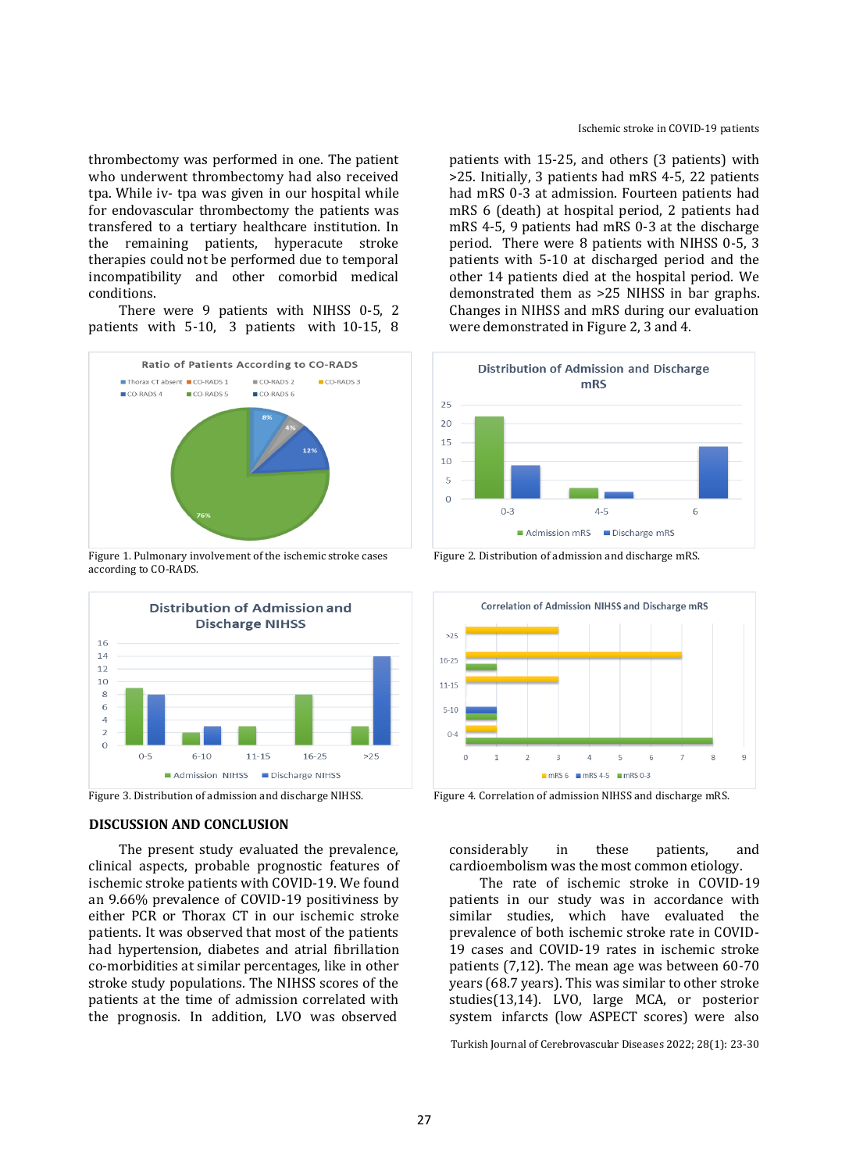thrombectomy was performed in one. The patient who underwent thrombectomy had also received tpa. While iv- tpa was given in our hospital while for endovascular thrombectomy the patients was transfered to a tertiary healthcare institution. In the remaining patients, hyperacute stroke therapies could not be performed due to temporal incompatibility and other comorbid medical conditions.

There were 9 patients with NIHSS 0-5, 2 patients with 5-10, 3 patients with 10-15, 8



Figure 1. Pulmonary involvement of the ischemic stroke cases Figure 2. Distribution of admission and discharge mRS. according to CO-RADS.



## **DISCUSSION AND CONCLUSION**

The present study evaluated the prevalence, clinical aspects, probable prognostic features of ischemic stroke patients with COVID-19. We found an 9.66% prevalence of COVID-19 positiviness by either PCR or Thorax CT in our ischemic stroke patients. It was observed that most of the patients had hypertension, diabetes and atrial fibrillation co-morbidities at similar percentages, like in other stroke study populations. The NIHSS scores of the patients at the time of admission correlated with the prognosis. In addition, LVO was observed

patients with 15-25, and others (3 patients) with >25. Initially, 3 patients had mRS 4-5, 22 patients had mRS 0-3 at admission. Fourteen patients had mRS 6 (death) at hospital period, 2 patients had mRS 4-5, 9 patients had mRS 0-3 at the discharge period. There were 8 patients with NIHSS 0-5, 3 patients with 5-10 at discharged period and the other 14 patients died at the hospital period. We demonstrated them as >25 NIHSS in bar graphs. Changes in NIHSS and mRS during our evaluation were demonstrated in Figure 2, 3 and 4.





Figure 3. Distribution of admission and discharge NIHSS. Figure 4. Correlation of admission NIHSS and discharge mRS.

considerably in these patients, and cardioembolism was the most common etiology.

The rate of ischemic stroke in COVID-19 patients in our study was in accordance with similar studies, which have evaluated the prevalence of both ischemic stroke rate in COVID-19 cases and COVID-19 rates in ischemic stroke patients (7,12). The mean age was between 60-70 years (68.7 years). This was similar to other stroke studies(13,14). LVO, large MCA, or posterior system infarcts (low ASPECT scores) were also

Turkish Journal of Cerebrovascular Diseases 2022; 28(1): 23-30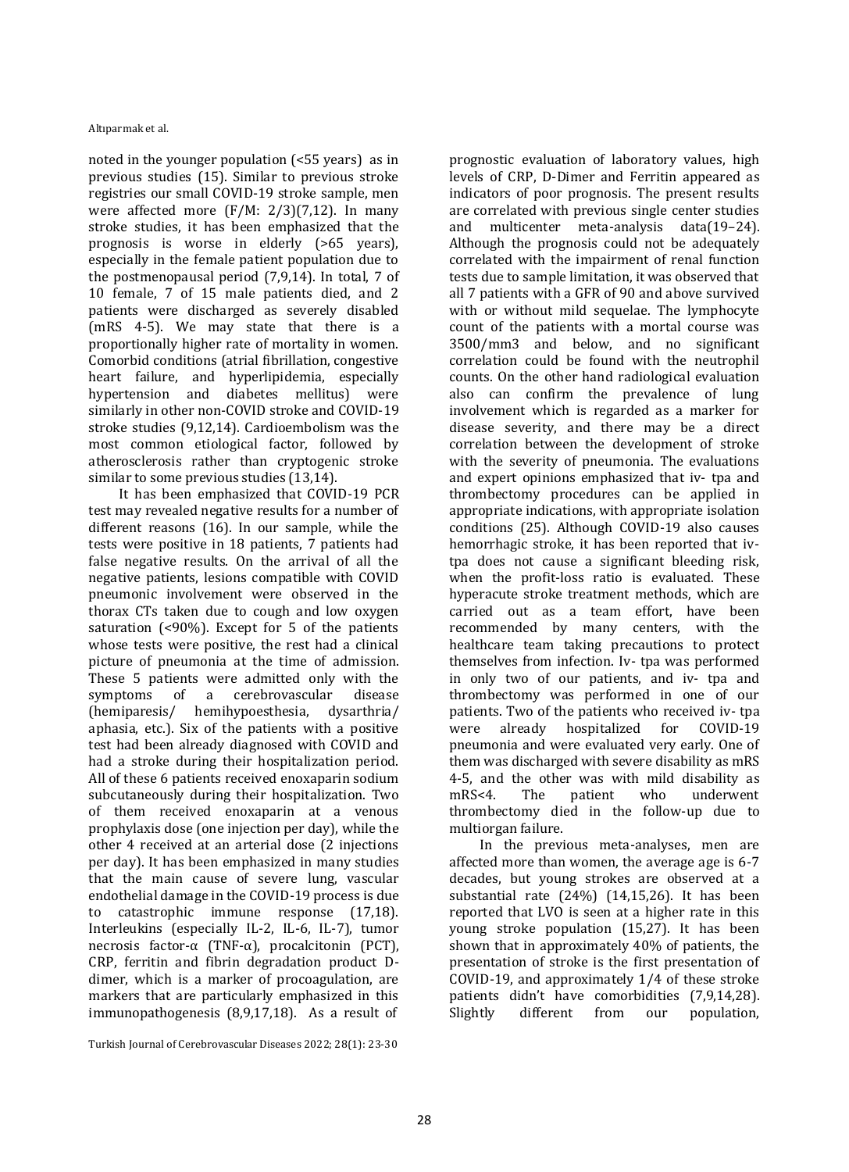noted in the younger population (<55 years) as in previous studies (15). Similar to previous stroke registries our small COVID-19 stroke sample, men were affected more (F/M: 2/3)(7,12). In many stroke studies, it has been emphasized that the prognosis is worse in elderly (>65 years), especially in the female patient population due to the postmenopausal period (7,9,14). In total, 7 of 10 female, 7 of 15 male patients died, and 2 patients were discharged as severely disabled (mRS 4-5). We may state that there is a proportionally higher rate of mortality in women. Comorbid conditions (atrial fibrillation, congestive heart failure, and hyperlipidemia, especially hypertension and diabetes mellitus) were similarly in other non-COVID stroke and COVID-19 stroke studies (9,12,14). Cardioembolism was the most common etiological factor, followed by atherosclerosis rather than cryptogenic stroke similar to some previous studies (13,14).

It has been emphasized that COVID-19 PCR test may revealed negative results for a number of different reasons (16). In our sample, while the tests were positive in 18 patients, 7 patients had false negative results. On the arrival of all the negative patients, lesions compatible with COVID pneumonic involvement were observed in the thorax CTs taken due to cough and low oxygen saturation (<90%). Except for 5 of the patients whose tests were positive, the rest had a clinical picture of pneumonia at the time of admission. These 5 patients were admitted only with the symptoms of a cerebrovascular disease (hemiparesis/ hemihypoesthesia, dysarthria/ aphasia, etc.). Six of the patients with a positive test had been already diagnosed with COVID and had a stroke during their hospitalization period. All of these 6 patients received enoxaparin sodium subcutaneously during their hospitalization. Two of them received enoxaparin at a venous prophylaxis dose (one injection per day), while the other 4 received at an arterial dose (2 injections per day). It has been emphasized in many studies that the main cause of severe lung, vascular endothelial damage in the COVID-19 process is due to catastrophic immune response (17,18). Interleukins (especially IL-2, IL-6, IL-7), tumor necrosis factor-α (TNF-α), procalcitonin (PCT), CRP, ferritin and fibrin degradation product Ddimer, which is a marker of procoagulation, are markers that are particularly emphasized in this immunopathogenesis (8,9,17,18). As a result of

Turkish Journal of Cerebrovascular Diseases 2022; 28(1): 23-30

prognostic evaluation of laboratory values, high levels of CRP, D-Dimer and Ferritin appeared as indicators of poor prognosis. The present results are correlated with previous single center studies and multicenter meta-analysis data(19–24). Although the prognosis could not be adequately correlated with the impairment of renal function tests due to sample limitation, it was observed that all 7 patients with a GFR of 90 and above survived with or without mild sequelae. The lymphocyte count of the patients with a mortal course was 3500/mm3 and below, and no significant correlation could be found with the neutrophil counts. On the other hand radiological evaluation also can confirm the prevalence of lung involvement which is regarded as a marker for disease severity, and there may be a direct correlation between the development of stroke with the severity of pneumonia. The evaluations and expert opinions emphasized that iv- tpa and thrombectomy procedures can be applied in appropriate indications, with appropriate isolation conditions (25). Although COVID-19 also causes hemorrhagic stroke, it has been reported that ivtpa does not cause a significant bleeding risk, when the profit-loss ratio is evaluated. These hyperacute stroke treatment methods, which are carried out as a team effort, have been recommended by many centers, with the healthcare team taking precautions to protect themselves from infection. Iv- tpa was performed in only two of our patients, and iv- tpa and thrombectomy was performed in one of our patients. Two of the patients who received iv- tpa were already hospitalized for COVID-19 pneumonia and were evaluated very early. One of them was discharged with severe disability as mRS 4-5, and the other was with mild disability as mRS<4. The patient who underwent thrombectomy died in the follow-up due to multiorgan failure.

In the previous meta-analyses, men are affected more than women, the average age is 6-7 decades, but young strokes are observed at a substantial rate (24%) (14,15,26). It has been reported that LVO is seen at a higher rate in this young stroke population (15,27). It has been shown that in approximately 40% of patients, the presentation of stroke is the first presentation of COVID-19, and approximately 1/4 of these stroke patients didn't have comorbidities (7,9,14,28). Slightly different from our population,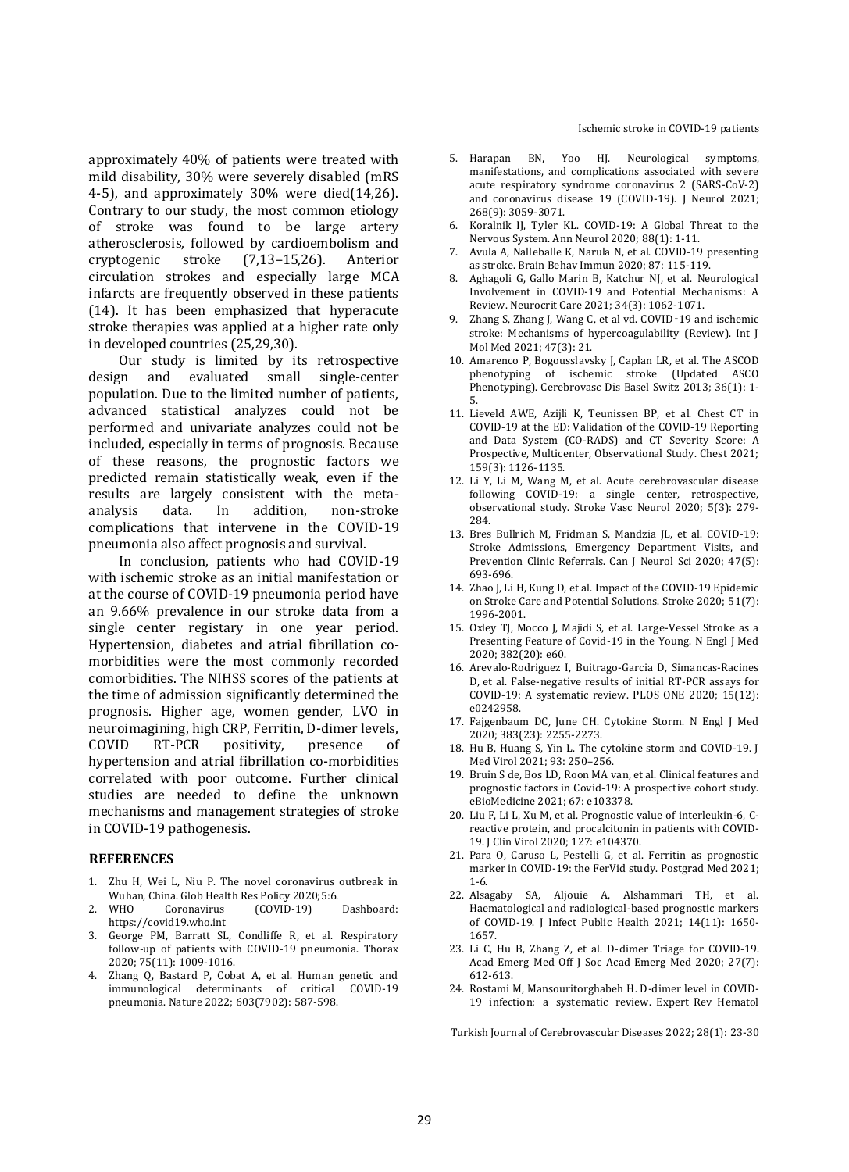approximately 40% of patients were treated with mild disability, 30% were severely disabled (mRS 4-5), and approximately 30% were died(14,26). Contrary to our study, the most common etiology of stroke was found to be large artery atherosclerosis, followed by cardioembolism and cryptogenic stroke (7,13–15,26). Anterior circulation strokes and especially large MCA infarcts are frequently observed in these patients (14). It has been emphasized that hyperacute stroke therapies was applied at a higher rate only in developed countries (25,29,30).

Our study is limited by its retrospective design and evaluated small single-center population. Due to the limited number of patients, advanced statistical analyzes could not be performed and univariate analyzes could not be included, especially in terms of prognosis. Because of these reasons, the prognostic factors we predicted remain statistically weak, even if the results are largely consistent with the metaanalysis data. In addition, non-stroke complications that intervene in the COVID-19 pneumonia also affect prognosis and survival.

In conclusion, patients who had COVID-19 with ischemic stroke as an initial manifestation or at the course of COVID-19 pneumonia period have an 9.66% prevalence in our stroke data from a single center registary in one year period. Hypertension, diabetes and atrial fibrillation comorbidities were the most commonly recorded comorbidities. The NIHSS scores of the patients at the time of admission significantly determined the prognosis. Higher age, women gender, LVO in neuroimagining, high CRP, Ferritin, D-dimer levels, COVID RT-PCR positivity, presence of hypertension and atrial fibrillation co-morbidities correlated with poor outcome. Further clinical studies are needed to define the unknown mechanisms and management strategies of stroke in COVID-19 pathogenesis.

#### **REFERENCES**

- 1. Zhu H, Wei L, Niu P. The novel coronavirus outbreak in Wuhan, China. Glob Health Res Policy 2020;5:6.
- 2. WHO Coronavirus (COVID-19) Dashboard: https://covid19.who.int
- George PM, Barratt SL, Condliffe R, et al. Respiratory follow-up of patients with COVID-19 pneumonia. Thorax 2020; 75(11): 1009-1016.
- Zhang Q, Bastard P, Cobat A, et al. Human genetic and<br>immunological determinants of critical COVID-19 immunological determinants of critical pneumonia. Nature 2022; 603(7902): 587-598.
- 5. Harapan BN, Yoo HJ. Neurological symptoms, manifestations, and complications associated with severe acute respiratory syndrome coronavirus 2 (SARS-CoV-2) and coronavirus disease 19 (COVID-19). J Neurol 2021; 268(9): 3059-3071.
- 6. Koralnik IJ, Tyler KL. COVID-19: A Global Threat to the Nervous System. Ann Neurol 2020; 88(1): 1-11.
- 7. Avula A, Nalleballe K, Narula N, et al. COVID-19 presenting as stroke. Brain Behav Immun 2020; 87: 115-119.
- 8. Aghagoli G, Gallo Marin B, Katchur NJ, et al. Neurological Involvement in COVID-19 and Potential Mechanisms: A Review. Neurocrit Care 2021; 34(3): 1062-1071.
- 9. Zhang S, Zhang J, Wang C, et al vd. COVID‑19 and ischemic stroke: Mechanisms of hypercoagulability (Review). Int J Mol Med 2021; 47(3): 21.
- 10. Amarenco P, Bogousslavsky J, Caplan LR, et al. The ASCOD phenotyping of ischemic stroke (Updated ASCO Phenotyping). Cerebrovasc Dis Basel Switz 2013; 36(1): 1- 5.
- 11. Lieveld AWE, Azijli K, Teunissen BP, et al. Chest CT in COVID-19 at the ED: Validation of the COVID-19 Reporting and Data System (CO-RADS) and CT Severity Score: A Prospective, Multicenter, Observational Study. Chest 2021; 159(3): 1126-1135.
- 12. Li Y, Li M, Wang M, et al. Acute cerebrovascular disease following COVID-19: a single center, retrospective, observational study. Stroke Vasc Neurol 2020; 5(3): 279- 284.
- 13. Bres Bullrich M, Fridman S, Mandzia JL, et al. COVID-19: Stroke Admissions, Emergency Department Visits, and Prevention Clinic Referrals. Can J Neurol Sci 2020; 47(5): 693-696.
- 14. Zhao J, Li H, Kung D, et al. Impact of the COVID-19 Epidemic on Stroke Care and Potential Solutions. Stroke 2020; 51(7): 1996-2001.
- 15. Oxley TJ, Mocco J, Majidi S, et al. Large-Vessel Stroke as a Presenting Feature of Covid-19 in the Young. N Engl J Med 2020; 382(20): e60.
- 16. Arevalo-Rodriguez I, Buitrago-Garcia D, Simancas-Racines D, et al. False-negative results of initial RT-PCR assays for COVID-19: A systematic review. PLOS ONE 2020; 15(12): e0242958.
- 17. Fajgenbaum DC, June CH. Cytokine Storm. N Engl J Med 2020; 383(23): 2255-2273.
- 18. Hu B, Huang S, Yin L. The cytokine storm and COVID‐19. J Med Virol 2021; 93: 250–256.
- 19. Bruin S de, Bos LD, Roon MA van, et al. Clinical features and prognostic factors in Covid-19: A prospective cohort study. eBioMedicine 2021; 67: e103378.
- 20. Liu F, Li L, Xu M, et al. Prognostic value of interleukin-6, Creactive protein, and procalcitonin in patients with COVID-19. J Clin Virol 2020; 127: e104370.
- 21. Para O, Caruso L, Pestelli G, et al. Ferritin as prognostic marker in COVID-19: the FerVid study. Postgrad Med 2021; 1-6.
- 22. Alsagaby SA, Aljouie A, Alshammari TH, et al. Haematological and radiological-based prognostic markers of COVID-19. J Infect Public Health 2021; 14(11): 1650- 1657.
- 23. Li C, Hu B, Zhang Z, et al. D-dimer Triage for COVID-19. Acad Emerg Med Off J Soc Acad Emerg Med 2020; 27(7): 612-613.
- 24. Rostami M, Mansouritorghabeh H. D-dimer level in COVID-19 infection: a systematic review. Expert Rev Hematol

Turkish Journal of Cerebrovascular Diseases 2022; 28(1): 23-30